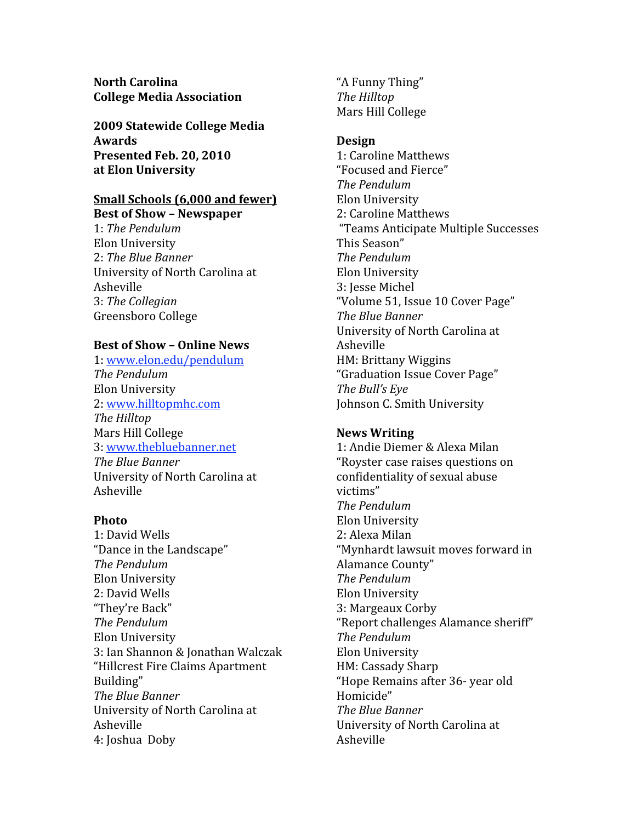**North Carolina College Media Association**

**2009 Statewide College Media Awards Presented Feb. 20, 2010 at Elon University**

# **Small Schools (6,000 and fewer)**

**Best of Show – Newspaper** 1: *The Pendulum* Elon University 2: *The Blue Banner* University of North Carolina at Asheville 3: *The Collegian* Greensboro College

# **Best of Show – Online News**

1: www.elon.edu/pendulum *The Pendulum* Elon University 2: www.hilltopmhc.com *The Hilltop* Mars Hill College 3: www.thebluebanner.net *The Blue Banner* University of North Carolina at Asheville

## **Photo**

1: David Wells "Dance in the Landscape" *The Pendulum* Elon University 2: David Wells "They're Back" *The Pendulum* Elon University 3: Ian Shannon & Jonathan Walczak "Hillcrest Fire Claims Apartment Building" *The Blue Banner* University of North Carolina at Asheville 4: Joshua Doby

"A Funny Thing" *The Hilltop* Mars Hill College

# **Design**

1: Caroline Matthews "Focused and Fierce" *The Pendulum* Elon University 2: Caroline Matthews "Teams Anticipate Multiple Successes This Season" *The Pendulum* Elon University 3: Jesse Michel "Volume 51, Issue 10 Cover Page" *The Blue Banner*  University of North Carolina at Asheville HM: Brittany Wiggins "Graduation Issue Cover Page" *The Bull's Eye* Johnson C. Smith University

# **News Writing**

1: Andie Diemer & Alexa Milan "Royster case raises questions on confidentiality of sexual abuse victims" *The Pendulum* Elon University 2: Alexa Milan "Mynhardt lawsuit moves forward in Alamance County" *The Pendulum* Elon University 3: Margeaux Corby "Report challenges Alamance sheriff" *The Pendulum* Elon University HM: Cassady Sharp "Hope Remains after 36‐ year old Homicide" *The Blue Banner* University of North Carolina at Asheville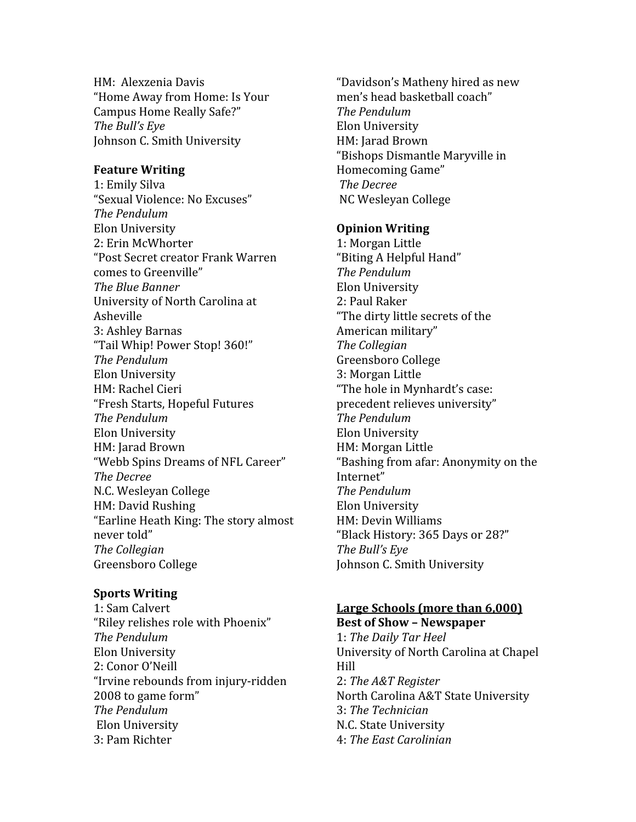HM: Alexzenia Davis "Home Away from Home: Is Your Campus Home Really Safe?" *The Bull's Eye* Johnson C. Smith University

#### **Feature Writing**

1: Emily Silva "Sexual Violence: No Excuses" *The Pendulum* Elon University 2: Erin McWhorter "Post Secret creator Frank Warren comes to Greenville" *The Blue Banner* University of North Carolina at Asheville 3: Ashley Barnas "Tail Whip! Power Stop! 360!" *The Pendulum* Elon University HM: Rachel Cieri "Fresh Starts, Hopeful Futures *The Pendulum* Elon University HM: Jarad Brown "Webb Spins Dreams of NFL Career" *The Decree* N.C. Wesleyan College HM: David Rushing "Earline Heath King: The story almost never told" *The Collegian* Greensboro College

## **Sports Writing**

1: Sam Calvert "Riley relishes role with Phoenix" *The Pendulum* Elon University 2: Conor O'Neill "Irvine rebounds from injury‐ridden 2008 to game form" *The Pendulum* Elon University 3: Pam Richter

"Davidson's Matheny hired as new men's head basketball coach" *The Pendulum* Elon University HM: Jarad Brown "Bishops Dismantle Maryville in Homecoming Game" *The Decree* NC Wesleyan College

#### **Opinion Writing**

1: Morgan Little "Biting A Helpful Hand" *The Pendulum* Elon University 2: Paul Raker "The dirty little secrets of the American military" *The Collegian* Greensboro College 3: Morgan Little "The hole in Mynhardt's case: precedent relieves university" *The Pendulum* Elon University HM: Morgan Little "Bashing from afar: Anonymity on the Internet" *The Pendulum* Elon University HM: Devin Williams "Black History: 365 Days or 28?" *The Bull's Eye* Johnson C. Smith University

#### **Large Schools (more than 6,000)**

**Best of Show – Newspaper** 1: *The Daily Tar Heel* University of North Carolina at Chapel Hill 2: *The A&T Register* North Carolina A&T State University 3: *The Technician* N.C. State University 4: *The East Carolinian*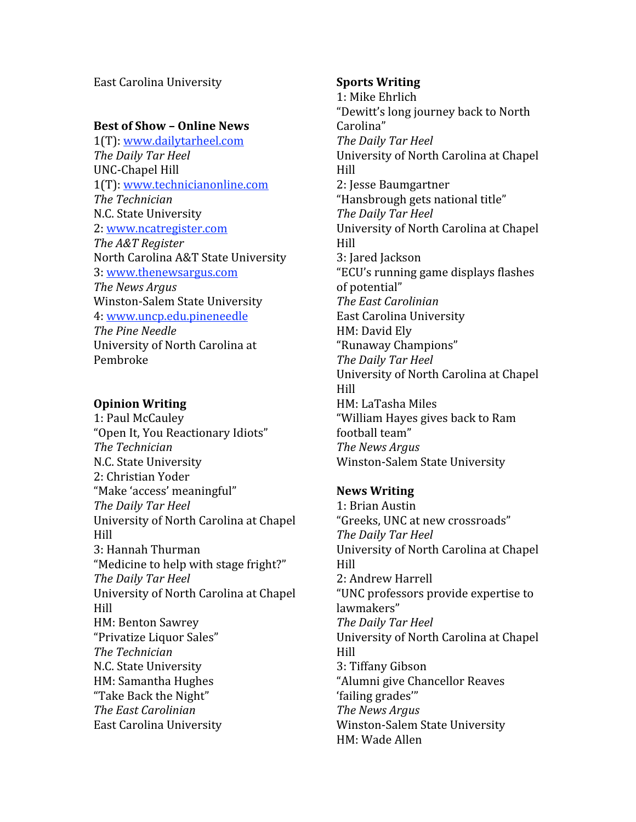East Carolina University

# **Best of Show – Online News**

1(T): www.dailytarheel.com *The Daily Tar Heel* UNC‐Chapel Hill 1(T): www.technicianonline.com *The Technician* N.C. State University 2: www.ncatregister.com *The A&T Register* North Carolina A&T State University 3: www.thenewsargus.com *The News Argus* Winston‐Salem State University 4: www.uncp.edu.pineneedle *The Pine Needle* University of North Carolina at Pembroke

# **Opinion Writing**

1: Paul McCauley "Open It, You Reactionary Idiots" *The Technician* N.C. State University 2: Christian Yoder "Make 'access' meaningful" *The Daily Tar Heel* University of North Carolina at Chapel Hill 3: Hannah Thurman "Medicine to help with stage fright?" *The Daily Tar Heel* University of North Carolina at Chapel Hill HM: Benton Sawrey "Privatize Liquor Sales" *The Technician* N.C. State University HM: Samantha Hughes "Take Back the Night" *The East Carolinian* East Carolina University

# **Sports Writing**

1: Mike Ehrlich "Dewitt's long journey back to North Carolina" *The Daily Tar Heel* University of North Carolina at Chapel Hill 2: Jesse Baumgartner "Hansbrough gets national title" *The Daily Tar Heel* University of North Carolina at Chapel Hill 3: Jared Jackson "ECU's running game displays flashes of potential" *The East Carolinian* East Carolina University HM: David Ely "Runaway Champions" *The Daily Tar Heel* University of North Carolina at Chapel Hill HM: LaTasha Miles "William Hayes gives back to Ram football team" *The News Argus*  Winston‐Salem State University

# **News Writing**

1: Brian Austin "Greeks, UNC at new crossroads" *The Daily Tar Heel* University of North Carolina at Chapel Hill 2: Andrew Harrell "UNC professors provide expertise to lawmakers" *The Daily Tar Heel* University of North Carolina at Chapel Hill 3: Tiffany Gibson "Alumni give Chancellor Reaves 'failing grades'" *The News Argus*  Winston‐Salem State University HM: Wade Allen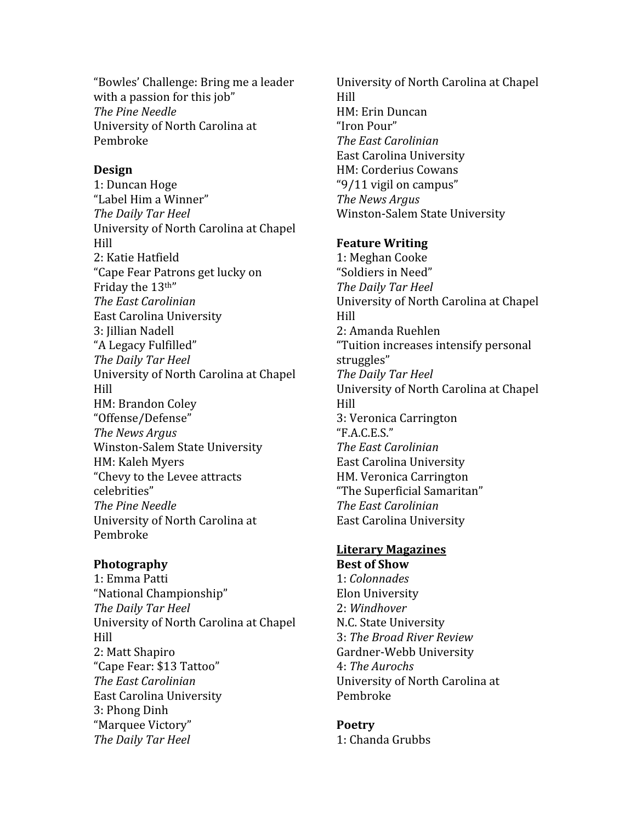"Bowles' Challenge: Bring me a leader with a passion for this job" *The Pine Needle* University of North Carolina at Pembroke

# **Design**

1: Duncan Hoge "Label Him a Winner" *The Daily Tar Heel* University of North Carolina at Chapel Hill 2: Katie Hatfield "Cape Fear Patrons get lucky on Friday the 13th" *The East Carolinian* East Carolina University 3: Jillian Nadell "A Legacy Fulfilled" *The Daily Tar Heel* University of North Carolina at Chapel Hill HM: Brandon Coley "Offense/Defense" *The News Argus*  Winston‐Salem State University HM: Kaleh Myers "Chevy to the Levee attracts celebrities" *The Pine Needle* University of North Carolina at Pembroke

## **Photography**

1: Emma Patti "National Championship" *The Daily Tar Heel* University of North Carolina at Chapel Hill 2: Matt Shapiro "Cape Fear: \$13 Tattoo" *The East Carolinian* East Carolina University 3: Phong Dinh "Marquee Victory" *The Daily Tar Heel*

University of North Carolina at Chapel Hill HM: Erin Duncan "Iron Pour" *The East Carolinian* East Carolina University HM: Corderius Cowans "9/11 vigil on campus" *The News Argus*  Winston‐Salem State University

# **Feature Writing**

1: Meghan Cooke "Soldiers in Need" *The Daily Tar Heel* University of North Carolina at Chapel Hill 2: Amanda Ruehlen "Tuition increases intensify personal struggles" *The Daily Tar Heel* University of North Carolina at Chapel Hill 3: Veronica Carrington "F.A.C.E.S." *The East Carolinian* East Carolina University HM. Veronica Carrington "The Superficial Samaritan" *The East Carolinian* East Carolina University

#### **Literary Magazines Best of Show**

1: *Colonnades* Elon University 2: *Windhover* N.C. State University 3: *The Broad River Review* Gardner‐Webb University 4: *The Aurochs* University of North Carolina at Pembroke

# **Poetry**

1: Chanda Grubbs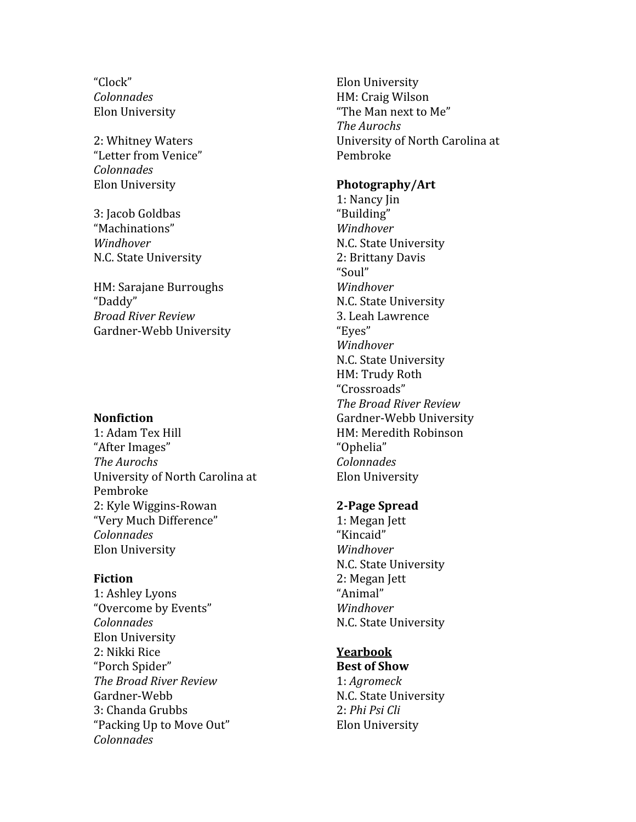"Clock" *Colonnades* Elon University

2: Whitney Waters "Letter from Venice" *Colonnades* Elon University

3: Jacob Goldbas "Machinations" *Windhover* N.C. State University

HM: Sarajane Burroughs "Daddy" *Broad River Review* Gardner‐Webb University

#### **Nonfiction**

1: Adam Tex Hill "After Images" *The Aurochs* University of North Carolina at Pembroke 2: Kyle Wiggins‐Rowan "Very Much Difference" *Colonnades* Elon University

#### **Fiction**

1: Ashley Lyons "Overcome by Events" *Colonnades* Elon University 2: Nikki Rice "Porch Spider" *The Broad River Review* Gardner‐Webb 3: Chanda Grubbs "Packing Up to Move Out" *Colonnades*

Elon University HM: Craig Wilson "The Man next to Me" *The Aurochs* University of North Carolina at Pembroke

#### **Photography/Art**

1: Nancy Jin "Building" *Windhover* N.C. State University 2: Brittany Davis "Soul" *Windhover* N.C. State University 3. Leah Lawrence "Eyes" *Windhover* N.C. State University HM: Trudy Roth "Crossroads" *The Broad River Review* Gardner‐Webb University HM: Meredith Robinson "Ophelia" *Colonnades* Elon University

#### **2Page Spread**

1: Megan Jett "Kincaid" *Windhover* N.C. State University 2: Megan Jett "Animal" *Windhover* N.C. State University

#### **Yearbook**

**Best of Show** 1: *Agromeck* N.C. State University 2: *Phi Psi Cli* Elon University